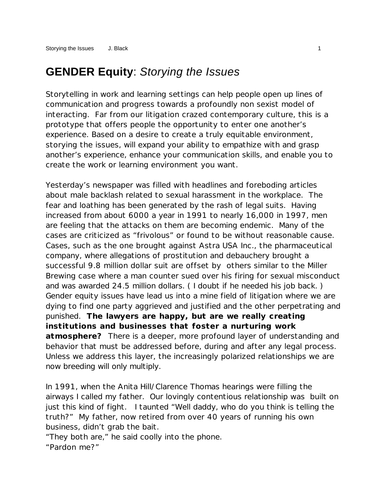# **GENDER Equity**: *Storying the Issues*

Storytelling in work and learning settings can help people open up lines of communication and progress towards a profoundly non sexist model of interacting. Far from our litigation crazed contemporary culture, this is a prototype that offers people the opportunity to enter one another's experience. Based on a desire to create a truly equitable environment, *storying the issues*, will expand your ability to empathize with and grasp another's experience, enhance your communication skills, and enable you to create the work or learning environment you want.

Yesterday's newspaper was filled with headlines and foreboding articles about male backlash related to sexual harassment in the workplace. The fear and loathing has been generated by the rash of legal suits. Having increased from about 6000 a year in 1991 to nearly 16,000 in 1997, men are feeling that the attacks on them are becoming endemic. Many of the cases are criticized as "frivolous" or found to be without reasonable cause. Cases, such as the one brought against Astra USA Inc., the pharmaceutical company, where allegations of prostitution and debauchery brought a successful 9.8 million dollar suit are offset by others similar to the Miller Brewing case where a man counter sued over his firing for sexual misconduct and was awarded 24.5 million dollars. ( I doubt if he needed his job back. ) Gender equity issues have lead us into a mine field of litigation where we are dying to find one party aggrieved and justified and the other perpetrating and punished. **The lawyers are happy, but are we really creating institutions and businesses that foster a nurturing work atmosphere?** There is a deeper, more profound layer of understanding and behavior that must be addressed before, during and after any legal process. Unless we address this layer, the increasingly polarized relationships we are now breeding will only multiply.

In 1991, when the Anita Hill/Clarence Thomas hearings were filling the airways I called my father. Our lovingly contentious relationship was built on just this kind of fight. I taunted "Well daddy, who do you think is telling the truth?" My father, now retired from over 40 years of running his own business, didn't grab the bait.

"They both are," he said coolly into the phone.

"Pardon me?"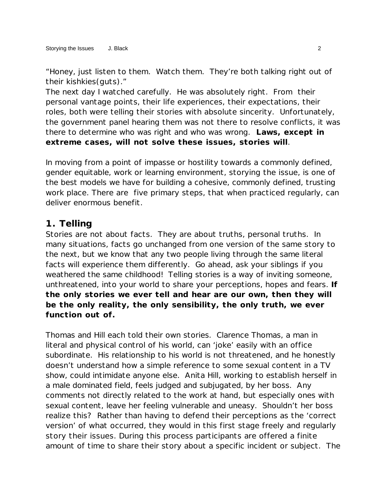"Honey, just listen to them. Watch them. They're both talking right out of their kishkies(guts)."

The next day I watched carefully. He was absolutely right. From their personal vantage points, their life experiences, their expectations, their roles, both were telling their stories with absolute sincerity. Unfortunately, the government panel hearing them was not there to resolve conflicts, it was there to determine who was right and who was wrong. **Laws, except in extreme cases, will not solve these issues, stories will**.

In moving from a point of impasse or hostility towards a commonly defined, gender equitable, work or learning environment, *storying the issue*, is one of the best models we have for building a cohesive, commonly defined, trusting work place. There are five primary steps, that when practiced regularly, can deliver enormous benefit.

#### **1. Telling**

Stories are not about facts. They are about truths, personal truths. In many situations, facts go unchanged from one version of the same story to the next, but we know that any two people living through the same literal facts will experience them differently. Go ahead, ask your siblings if you weathered the same childhood! Telling stories is a way of inviting someone, unthreatened, into your world to share your perceptions, hopes and fears. **If the only stories we ever tell and hear are our own, then they will be the only reality, the only sensibility, the only truth, we ever function out of.** 

Thomas and Hill each told their own stories. Clarence Thomas, a man in literal and physical control of his world, can 'joke' easily with an office subordinate. His relationship to his world is not threatened, and he honestly doesn't understand how a simple reference to some sexual content in a TV show, could intimidate anyone else. Anita Hill, working to establish herself in a male dominated field, feels judged and subjugated, by her boss. Any comments not directly related to the work at hand, but especially ones with sexual content, leave her feeling vulnerable and uneasy. Shouldn't her boss realize this? Rather than having to defend their perceptions as the 'correct version' of what occurred, they would in this first stage freely and regularly *story their issues*. During this process participants are offered a finite amount of time to share their story about a specific incident or subject. The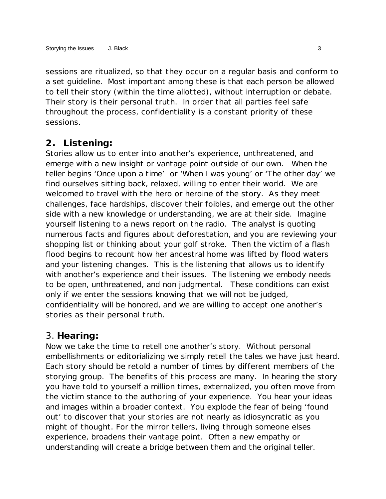sessions are ritualized, so that they occur on a regular basis and conform to a set guideline. Most important among these is that each person be allowed to tell their story (within the time allotted), without interruption or debate. Their story is their personal truth. In order that all parties feel safe throughout the process, confidentiality is a constant priority of these sessions.

### **2. Listening:**

Stories allow us to enter into another's experience, unthreatened, and emerge with a new insight or vantage point outside of our own. When the teller begins 'Once upon a time' or 'When I was young' or 'The other day' we find ourselves sitting back, relaxed, willing to enter their world. We are welcomed to travel with the hero or heroine of the story. As they meet challenges, face hardships, discover their foibles, and emerge out the other side with a new knowledge or understanding, we are at their side. Imagine yourself listening to a news report on the radio. The analyst is quoting numerous facts and figures about deforestation, and you are reviewing your shopping list or thinking about your golf stroke. Then the victim of a flash flood begins to recount how her ancestral home was lifted by flood waters and your listening changes. This is the listening that allows us to identify with another's experience and their issues. The listening we embody needs to be open, unthreatened, and non judgmental. These conditions can exist only if we enter the sessions knowing that we will not be judged, confidentiality will be honored, and we are willing to accept one another's stories as their personal truth.

#### 3. **Hearing:**

Now we take the time to retell one another's story. Without personal embellishments or editorializing we simply retell the tales we have just heard. Each story should be retold a number of times by different members of the *storying* group. The benefits of this process are many. In hearing the story you have told to yourself a million times, externalized, you often move from the victim stance to the authoring of your experience. You hear your ideas and images within a broader context. You explode the fear of being 'found out' to discover that your stories are not nearly as idiosyncratic as you might of thought. For the mirror tellers, living through someone elses experience, broadens their vantage point. Often a new empathy or understanding will create a bridge between them and the original teller.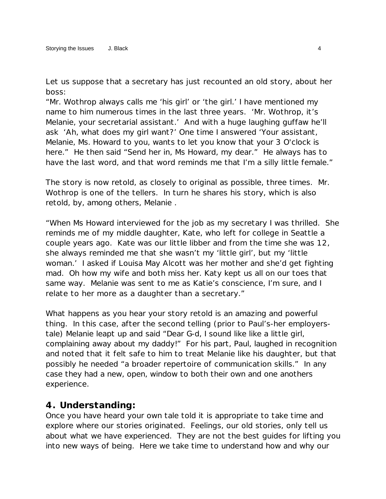Let us suppose that a secretary has just recounted an old story, about her boss:

"Mr. Wothrop always calls me 'his girl' or 'the girl.' I have mentioned my name to him numerous times in the last three years. 'Mr. Wothrop, it's Melanie, your secretarial assistant.' And with a huge laughing guffaw he'll ask 'Ah, what does my girl want?' One time I answered 'Your assistant, Melanie, Ms. Howard to you, wants to let you know that your 3 O'clock is here." He then said "Send her in, Ms Howard, my dear." He always has to have the last word, and that word reminds me that I'm a silly little female."

The story is now retold, as closely to original as possible, three times. Mr. Wothrop is one of the tellers. In turn he shares his story, which is also retold, by, among others, Melanie .

"When Ms Howard interviewed for the job as my secretary I was thrilled. She reminds me of my middle daughter, Kate, who left for college in Seattle a couple years ago. Kate was our little libber and from the time she was 12, she always reminded me that she wasn't my 'little girl', but my 'little woman.' I asked if Louisa May Alcott was her mother and she'd get fighting mad. Oh how my wife and both miss her. Katy kept us all on our toes that same way. Melanie was sent to me as Katie's conscience, I'm sure, and I relate to her more as a daughter than a secretary."

What happens as you hear your story retold is an amazing and powerful thing. In this case, after the second telling (prior to Paul's-her employerstale) Melanie leapt up and said "Dear G-d, I sound like like a little girl, complaining away about my daddy!" For his part, Paul, laughed in recognition and noted that it felt safe to him to treat Melanie like his daughter, but that possibly he needed "a broader repertoire of communication skills." In any case they had a new, open, window to both their own and one anothers experience.

#### **4. Understanding:**

Once you have heard your own tale told it is appropriate to take time and explore where our stories originated. Feelings, our old stories, only tell us about what we have experienced. They are not the best guides for lifting you into new ways of being. Here we take time to understand how and why our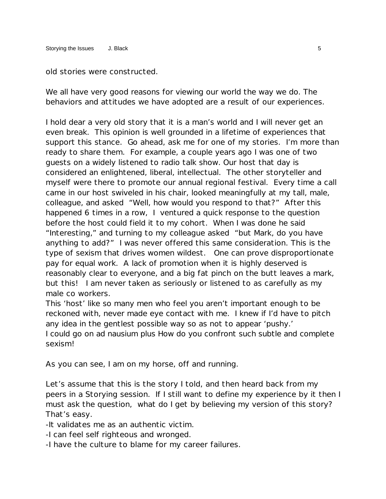old stories were constructed.

We all have very good reasons for viewing our world the way we do. The behaviors and attitudes we have adopted are a result of our experiences.

I hold dear a very old story that it is a man's world and I will never get an even break. This opinion is well grounded in a lifetime of experiences that support this stance. Go ahead, ask me for one of my stories. I'm more than ready to share them. For example, a couple years ago I was one of two guests on a widely listened to radio talk show. Our host that day is considered an enlightened, liberal, intellectual. The other storyteller and myself were there to promote our annual regional festival. Every time a call came in our host swiveled in his chair, looked meaningfully at my tall, male, colleague, and asked "Well, how would you respond to that?" After this happened 6 times in a row, I ventured a quick response to the question before the host could field it to my cohort. When I was done he said "Interesting," and turning to my colleague asked "but Mark, do you have anything to add?" I was never offered this same consideration. This is the type of sexism that drives women wildest. One can prove disproportionate pay for equal work. A lack of promotion when it is highly deserved is reasonably clear to everyone, and a big fat pinch on the butt leaves a mark, but this! I am never taken as seriously or listened to as carefully as my male co workers.

This 'host' like so many men who feel you aren't important enough to be reckoned with, never made eye contact with me. I knew if I'd have to pitch any idea in the gentlest possible way so as not to appear 'pushy.' I could go on ad nausium plus How do you confront such subtle and complete sexism!

As you can see, I am on my horse, off and running.

Let's assume that this is the story I told, and then heard back from my peers in a *Storying* session. If I still want to define my experience by it then I must ask the question, what do I get by believing my version of this story? That's easy.

-It validates me as an authentic victim.

-I can feel self righteous and wronged.

-I have the culture to blame for my career failures.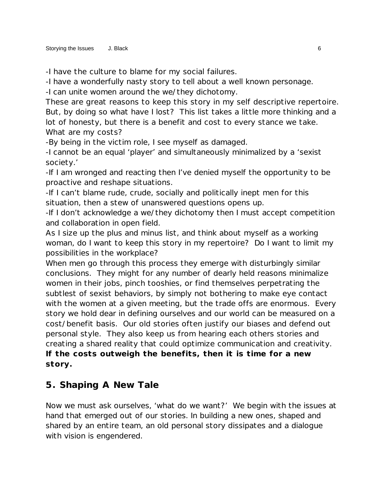-I have the culture to blame for my social failures.

-I have a wonderfully nasty story to tell about a well known personage.

-I can unite women around the we/they dichotomy.

These are great reasons to keep this story in my self descriptive repertoire. But, by doing so what have I lost? This list takes a little more thinking and a lot of honesty, but there is a benefit and cost to every stance we take. What are my costs?

-By being in the victim role, I see myself as damaged.

-I cannot be an equal 'player' and simultaneously minimalized by a 'sexist society.'

-If I am wronged and reacting then I've denied myself the opportunity to be proactive and reshape situations.

-If I can't blame rude, crude, socially and politically inept men for this situation, then a stew of unanswered questions opens up.

-If I don't acknowledge a we/they dichotomy then I must accept competition and collaboration in open field.

As I size up the plus and minus list, and think about myself as a working woman, do I want to keep this story in my repertoire? Do I want to limit my possibilities in the workplace?

When men go through this process they emerge with disturbingly similar conclusions. They might for any number of dearly held reasons minimalize women in their jobs, pinch tooshies, or find themselves perpetrating the subtlest of sexist behaviors, by simply not bothering to make eye contact with the women at a given meeting, but the trade offs are enormous. Every story we hold dear in defining ourselves and our world can be measured on a cost/benefit basis. Our old stories often justify our biases and defend out personal style. They also keep us from hearing each others stories and creating a shared reality that could optimize communication and creativity. **If the costs outweigh the benefits, then it is time for a new story.**

## **5. Shaping A New Tale**

Now we must ask ourselves, 'what do we want?' We begin with the issues at hand that emerged out of our stories. In building a new ones, shaped and shared by an entire team, an old personal story dissipates and a dialogue with vision is engendered.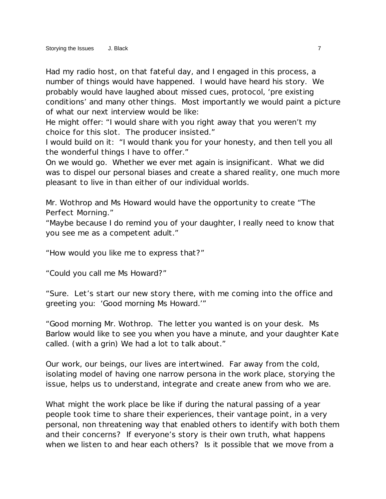Had my radio host, on that fateful day, and I engaged in this process, a number of things would have happened. I would have heard his story. We probably would have laughed about missed cues, protocol, 'pre existing conditions' and many other things. Most importantly we would paint a picture of what our next interview would be like:

He might offer: "I would share with you right away that you weren't my choice for this slot. The producer insisted."

I would build on it: "I would thank you for your honesty, and then tell you all the wonderful things I have to offer."

On we would go. Whether we ever met again is insignificant. What we did was to dispel our personal biases and create a shared reality, one much more pleasant to live in than either of our individual worlds.

Mr. Wothrop and Ms Howard would have the opportunity to create "The Perfect Morning."

"Maybe because I do remind you of your daughter, I really need to know that you see me as a competent adult."

"How would you like me to express that?"

"Could you call me Ms Howard?"

"Sure. Let's start our new story there, with me coming into the office and greeting you: 'Good morning Ms Howard.'"

"Good morning Mr. Wothrop. The letter you wanted is on your desk. Ms Barlow would like to see you when you have a minute, and your daughter Kate called. (with a grin) We had a lot to talk about."

Our work, our beings, our lives are intertwined. Far away from the cold, isolating model of having one narrow persona in the work place, *storying the issue*, helps us to understand, integrate and create anew from who we are.

What might the work place be like if during the natural passing of a year people took time to share their experiences, their vantage point, in a very personal, non threatening way that enabled others to identify with both them and their concerns? If everyone's story is their own truth, what happens when we listen to and hear each others? Is it possible that we move from a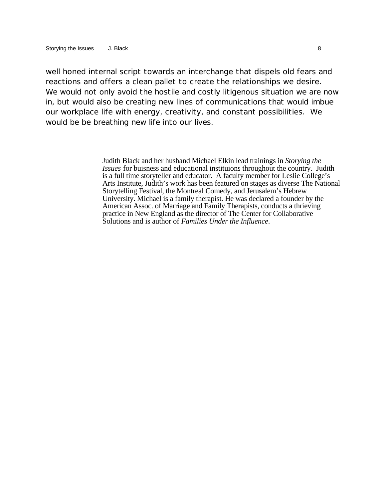well honed internal script towards an interchange that dispels old fears and reactions and offers a clean pallet to create the relationships we desire. We would not only avoid the hostile and costly litigenous situation we are now in, but would also be creating new lines of communications that would imbue our workplace life with energy, creativity, and constant possibilities. We would be be breathing new life into our lives.

> Judith Black and her husband Michael Elkin lead trainings in *Storying the Issues* for buisness and educational instituions throughout the country. Judith is a full time storyteller and educator. A faculty member for Leslie College's Arts Institute, Judith's work has been featured on stages as diverse The National Storytelling Festival, the Montreal Comedy, and Jerusalem's Hebrew University. Michael is a family therapist. He was declared a founder by the American Assoc. of Marriage and Family Therapists, conducts a thrieving practice in New England as the director of The Center for Collaborative Solutions and is author of *Families Under the Influence*.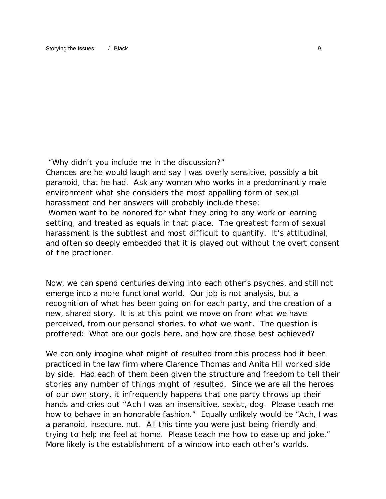"Why didn't you include me in the discussion?"

Chances are he would laugh and say I was overly sensitive, possibly a bit paranoid, that he had. Ask any woman who works in a predominantly male environment what she considers the most appalling form of sexual harassment and her answers will probably include these:

 Women want to be honored for what they bring to any work or learning setting, and treated as equals in that place. The greatest form of sexual harassment is the subtlest and most difficult to quantify. It's attitudinal, and often so deeply embedded that it is played out without the overt consent of the practioner.

Now, we can spend centuries delving into each other's psyches, and still not emerge into a more functional world. Our job is not analysis, but a recognition of what has been going on for each party, and the creation of a new, shared story. It is at this point we move on from what we have perceived, from our personal stories. to what we want. The question is proffered: What are our goals here, and how are those best achieved?

We can only imagine what might of resulted from this process had it been practiced in the law firm where Clarence Thomas and Anita Hill worked side by side. Had each of them been given the structure and freedom to tell their stories any number of things might of resulted. Since we are all the heroes of our own story, it infrequently happens that one party throws up their hands and cries out "Ach I was an insensitive, sexist, dog. Please teach me how to behave in an honorable fashion." Equally unlikely would be "Ach, I was a paranoid, insecure, nut. All this time you were just being friendly and trying to help me feel at home. Please teach me how to ease up and joke." More likely is the establishment of a window into each other's worlds.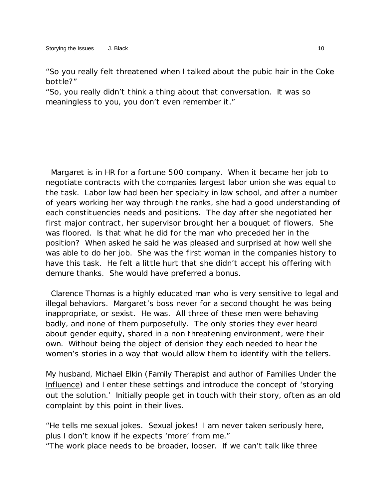"So you really felt threatened when I talked about the pubic hair in the Coke bottle?"

"So, you really didn't think a thing about that conversation. It was so meaningless to you, you don't even remember it."

 Margaret is in HR for a fortune 500 company. When it became her job to negotiate contracts with the companies largest labor union she was equal to the task. Labor law had been her specialty in law school, and after a number of years working her way through the ranks, she had a good understanding of each constituencies needs and positions. The day after she negotiated her first major contract, her supervisor brought her a bouquet of flowers. She was floored. Is that what he did for the man who preceded her in the position? When asked he said he was pleased and surprised at how well she was able to do her job. She was the first woman in the companies history to have this task. He felt a little hurt that she didn't accept his offering with demure thanks. She would have preferred a bonus.

 Clarence Thomas is a highly educated man who is very sensitive to legal and illegal behaviors. Margaret's boss never for a second thought he was being inappropriate, or sexist. He was. All three of these men were behaving badly, and none of them purposefully. The only stories they ever heard about gender equity, shared in a non threatening environment, were their own. Without being the object of derision they each needed to hear the women's stories in a way that would allow them to identify with the tellers.

My husband, Michael Elkin (Family Therapist and author of Families Under the Influence) and I enter these settings and introduce the concept of 'storying out the solution.' Initially people get in touch with their story, often as an old complaint by this point in their lives.

"He tells me sexual jokes. Sexual jokes! I am never taken seriously here, plus I don't know if he expects 'more' from me." "The work place needs to be broader, looser. If we can't talk like three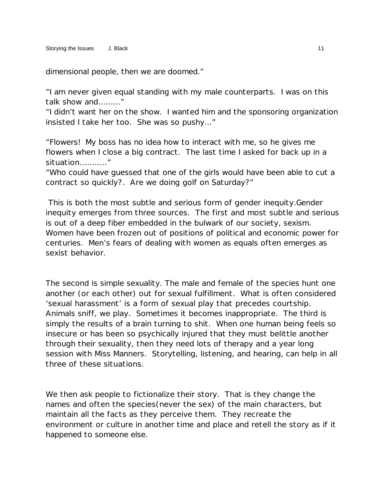dimensional people, then we are doomed."

"I am never given equal standing with my male counterparts. I was on this talk show and........."

"I didn't want her on the show. I wanted him and the sponsoring organization insisted I take her too. She was so pushy..."

"Flowers! My boss has no idea how to interact with me, so he gives me flowers when I close a big contract. The last time I asked for back up in a situation..........."

"Who could have guessed that one of the girls would have been able to cut a contract so quickly?. Are we doing golf on Saturday?"

 This is both the most subtle and serious form of gender inequity.Gender inequity emerges from three sources. The first and most subtle and serious is out of a deep fiber embedded in the bulwark of our society, sexism. Women have been frozen out of positions of political and economic power for centuries. Men's fears of dealing with women as equals often emerges as sexist behavior.

The second is simple sexuality. The male and female of the species hunt one another (or each other) out for sexual fulfillment. What is often considered 'sexual harassment' is a form of sexual play that precedes courtship. Animals sniff, we play. Sometimes it becomes inappropriate. The third is simply the results of a brain turning to shit. When one human being feels so insecure or has been so psychically injured that they must belittle another through their sexuality, then they need lots of therapy and a year long session with Miss Manners. Storytelling, listening, and hearing, can help in all three of these situations.

We then ask people to fictionalize their story. That is they change the names and often the species(never the sex) of the main characters, but maintain all the facts as they perceive them. They recreate the environment or culture in another time and place and retell the story as if it happened to someone else.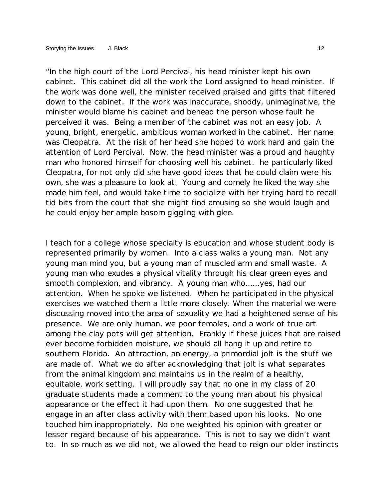"In the high court of the Lord Percival, his head minister kept his own cabinet. This cabinet did all the work the Lord assigned to head minister. If the work was done well, the minister received praised and gifts that filtered down to the cabinet. If the work was inaccurate, shoddy, unimaginative, the minister would blame his cabinet and behead the person whose fault he perceived it was. Being a member of the cabinet was not an easy job. A young, bright, energetic, ambitious woman worked in the cabinet. Her name was Cleopatra. At the risk of her head she hoped to work hard and gain the attention of Lord Percival. Now, the head minister was a proud and haughty man who honored himself for choosing well his cabinet. he particularly liked Cleopatra, for not only did she have good ideas that he could claim were his own, she was a pleasure to look at. Young and comely he liked the way she made him feel, and would take time to socialize with her trying hard to recall tid bits from the court that she might find amusing so she would laugh and he could enjoy her ample bosom giggling with glee.

I teach for a college whose specialty is education and whose student body is represented primarily by women. Into a class walks a young man. Not any young man mind you, but a young man of muscled arm and small waste. A young man who exudes a physical vitality through his clear green eyes and smooth complexion, and vibrancy. A young man who......yes, had our attention. When he spoke we listened. When he participated in the physical exercises we watched them a little more closely. When the material we were discussing moved into the area of sexuality we had a heightened sense of his presence. We are only human, we poor females, and a work of true art among the clay pots will get attention. Frankly if these juices that are raised ever become forbidden moisture, we should all hang it up and retire to southern Florida. An attraction, an energy, a primordial jolt is the stuff we are made of. What we do after acknowledging that jolt is what separates from the animal kingdom and maintains us in the realm of a healthy, equitable, work setting. I will proudly say that no one in my class of 20 graduate students made a comment to the young man about his physical appearance or the effect it had upon them. No one suggested that he engage in an after class activity with them based upon his looks. No one touched him inappropriately. No one weighted his opinion with greater or lesser regard because of his appearance. This is not to say we didn't want to. In so much as we did not, we allowed the head to reign our older instincts